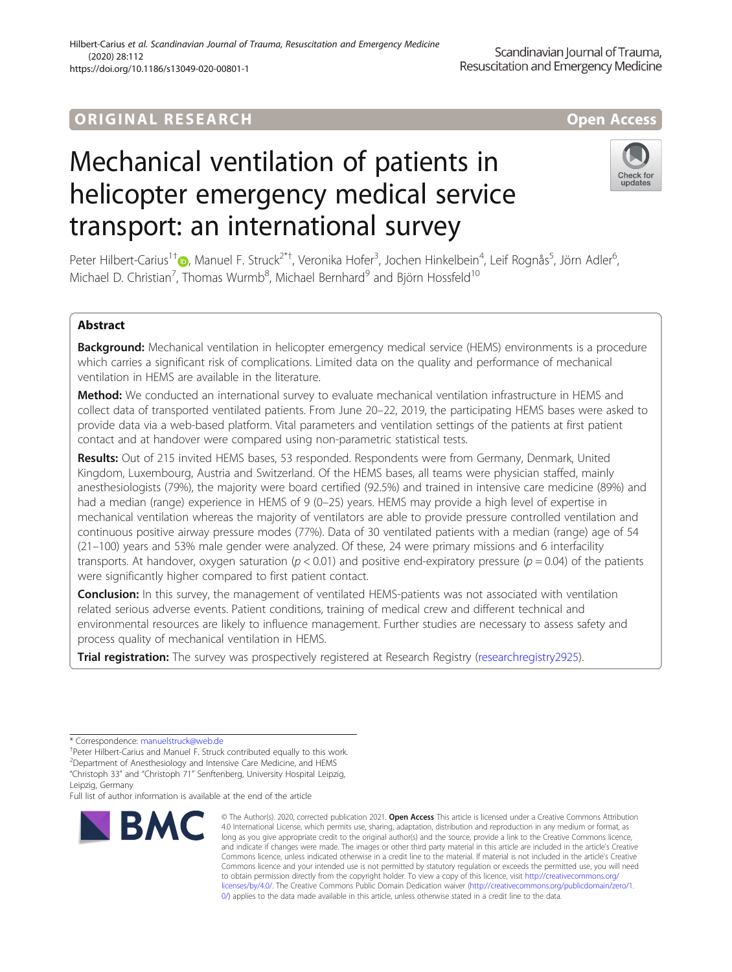### ORIGINA L R E S EA RCH Open Access

# Mechanical ventilation of patients in helicopter emergency medical service transport: an international survey

Peter Hilbert-Carius<sup>1†</sup>®, Manuel F. Struck<sup>2\*†</sup>, Veronika Hofer<sup>3</sup>, Jochen Hinkelbein<sup>4</sup>, Leif Rognås<sup>5</sup>, Jörn Adler<sup>6</sup> , Michael D. Christian<sup>7</sup>, Thomas Wurmb $^8$ , Michael Bernhard $^9$  and Björn Hossfeld $^{10}$ 

### Abstract

Background: Mechanical ventilation in helicopter emergency medical service (HEMS) environments is a procedure which carries a significant risk of complications. Limited data on the quality and performance of mechanical ventilation in HEMS are available in the literature.

Method: We conducted an international survey to evaluate mechanical ventilation infrastructure in HEMS and collect data of transported ventilated patients. From June 20–22, 2019, the participating HEMS bases were asked to provide data via a web-based platform. Vital parameters and ventilation settings of the patients at first patient contact and at handover were compared using non-parametric statistical tests.

Results: Out of 215 invited HEMS bases, 53 responded. Respondents were from Germany, Denmark, United Kingdom, Luxembourg, Austria and Switzerland. Of the HEMS bases, all teams were physician staffed, mainly anesthesiologists (79%), the majority were board certified (92.5%) and trained in intensive care medicine (89%) and had a median (range) experience in HEMS of 9 (0–25) years. HEMS may provide a high level of expertise in mechanical ventilation whereas the majority of ventilators are able to provide pressure controlled ventilation and continuous positive airway pressure modes (77%). Data of 30 ventilated patients with a median (range) age of 54 (21–100) years and 53% male gender were analyzed. Of these, 24 were primary missions and 6 interfacility transports. At handover, oxygen saturation ( $p < 0.01$ ) and positive end-expiratory pressure ( $p = 0.04$ ) of the patients were significantly higher compared to first patient contact.

**Conclusion:** In this survey, the management of ventilated HEMS-patients was not associated with ventilation related serious adverse events. Patient conditions, training of medical crew and different technical and environmental resources are likely to influence management. Further studies are necessary to assess safety and process quality of mechanical ventilation in HEMS.

Trial registration: The survey was prospectively registered at Research Registry [\(researchregistry2925\)](https://www.researchregistry.com/browse-the-registry#home/?view_2_search=researchregistry2925&view_2_page=1).

Full list of author information is available at the end of the article

# "Christoph 33" and "Christoph 71" Senftenberg, University Hospital Leipzig,



and indicate if changes were made. The images or other third party material in this article are included in the article's Creative Commons licence, unless indicated otherwise in a credit line to the material. If material is not included in the article's Creative Commons licence and your intended use is not permitted by statutory regulation or exceeds the permitted use, you will need to obtain permission directly from the copyright holder. To view a copy of this licence, visit [http://creativecommons.org/](http://creativecommons.org/licenses/by/4.0/) [licenses/by/4.0/.](http://creativecommons.org/licenses/by/4.0/) The Creative Commons Public Domain Dedication waiver ([http://creativecommons.org/publicdomain/zero/1.](http://creativecommons.org/publicdomain/zero/1.0/) [0/\)](http://creativecommons.org/publicdomain/zero/1.0/) applies to the data made available in this article, unless otherwise stated in a credit line to the data.

4.0 International License, which permits use, sharing, adaptation, distribution and reproduction in any medium or format, as long as you give appropriate credit to the original author(s) and the source, provide a link to the Creative Commons licence,





<sup>\*</sup> Correspondence: [manuelstruck@web.de](mailto:manuelstruck@web.de) †

<sup>&</sup>lt;sup>+</sup>Peter Hilbert-Carius and Manuel F. Struck contributed equally to this work.

<sup>&</sup>lt;sup>2</sup> Department of Anesthesiology and Intensive Care Medicine, and HEMS

Leipzig, Germany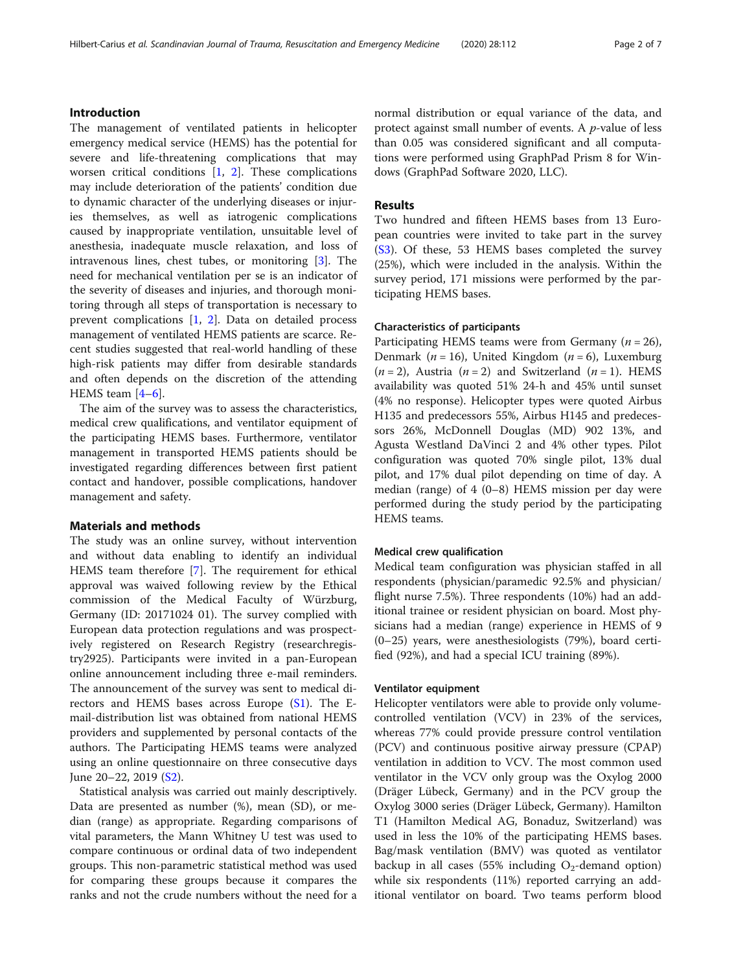#### Introduction

The management of ventilated patients in helicopter emergency medical service (HEMS) has the potential for severe and life-threatening complications that may worsen critical conditions [[1,](#page-5-0) [2](#page-5-0)]. These complications may include deterioration of the patients' condition due to dynamic character of the underlying diseases or injuries themselves, as well as iatrogenic complications caused by inappropriate ventilation, unsuitable level of anesthesia, inadequate muscle relaxation, and loss of intravenous lines, chest tubes, or monitoring [[3\]](#page-5-0). The need for mechanical ventilation per se is an indicator of the severity of diseases and injuries, and thorough monitoring through all steps of transportation is necessary to prevent complications [\[1](#page-5-0), [2\]](#page-5-0). Data on detailed process management of ventilated HEMS patients are scarce. Recent studies suggested that real-world handling of these high-risk patients may differ from desirable standards and often depends on the discretion of the attending HEMS team [\[4](#page-5-0)–[6\]](#page-5-0).

The aim of the survey was to assess the characteristics, medical crew qualifications, and ventilator equipment of the participating HEMS bases. Furthermore, ventilator management in transported HEMS patients should be investigated regarding differences between first patient contact and handover, possible complications, handover management and safety.

#### Materials and methods

The study was an online survey, without intervention and without data enabling to identify an individual HEMS team therefore [\[7](#page-5-0)]. The requirement for ethical approval was waived following review by the Ethical commission of the Medical Faculty of Würzburg, Germany (ID: 20171024 01). The survey complied with European data protection regulations and was prospectively registered on Research Registry (researchregistry2925). Participants were invited in a pan-European online announcement including three e-mail reminders. The announcement of the survey was sent to medical directors and HEMS bases across Europe ([S1\)](#page-5-0). The Email-distribution list was obtained from national HEMS providers and supplemented by personal contacts of the authors. The Participating HEMS teams were analyzed using an online questionnaire on three consecutive days June 20–22, 2019 [\(S2](#page-5-0)).

Statistical analysis was carried out mainly descriptively. Data are presented as number (%), mean (SD), or median (range) as appropriate. Regarding comparisons of vital parameters, the Mann Whitney U test was used to compare continuous or ordinal data of two independent groups. This non-parametric statistical method was used for comparing these groups because it compares the ranks and not the crude numbers without the need for a normal distribution or equal variance of the data, and protect against small number of events. A p-value of less than 0.05 was considered significant and all computations were performed using GraphPad Prism 8 for Windows (GraphPad Software 2020, LLC).

#### Results

Two hundred and fifteen HEMS bases from 13 European countries were invited to take part in the survey ([S3\)](#page-5-0). Of these, 53 HEMS bases completed the survey (25%), which were included in the analysis. Within the survey period, 171 missions were performed by the participating HEMS bases.

#### Characteristics of participants

Participating HEMS teams were from Germany ( $n = 26$ ), Denmark ( $n = 16$ ), United Kingdom ( $n = 6$ ), Luxemburg  $(n = 2)$ , Austria  $(n = 2)$  and Switzerland  $(n = 1)$ . HEMS availability was quoted 51% 24-h and 45% until sunset (4% no response). Helicopter types were quoted Airbus H135 and predecessors 55%, Airbus H145 and predecessors 26%, McDonnell Douglas (MD) 902 13%, and Agusta Westland DaVinci 2 and 4% other types. Pilot configuration was quoted 70% single pilot, 13% dual pilot, and 17% dual pilot depending on time of day. A median (range) of 4 (0–8) HEMS mission per day were performed during the study period by the participating HEMS teams.

#### Medical crew qualification

Medical team configuration was physician staffed in all respondents (physician/paramedic 92.5% and physician/ flight nurse 7.5%). Three respondents (10%) had an additional trainee or resident physician on board. Most physicians had a median (range) experience in HEMS of 9 (0–25) years, were anesthesiologists (79%), board certified (92%), and had a special ICU training (89%).

#### Ventilator equipment

Helicopter ventilators were able to provide only volumecontrolled ventilation (VCV) in 23% of the services, whereas 77% could provide pressure control ventilation (PCV) and continuous positive airway pressure (CPAP) ventilation in addition to VCV. The most common used ventilator in the VCV only group was the Oxylog 2000 (Dräger Lübeck, Germany) and in the PCV group the Oxylog 3000 series (Dräger Lübeck, Germany). Hamilton T1 (Hamilton Medical AG, Bonaduz, Switzerland) was used in less the 10% of the participating HEMS bases. Bag/mask ventilation (BMV) was quoted as ventilator backup in all cases (55% including  $O_2$ -demand option) while six respondents (11%) reported carrying an additional ventilator on board. Two teams perform blood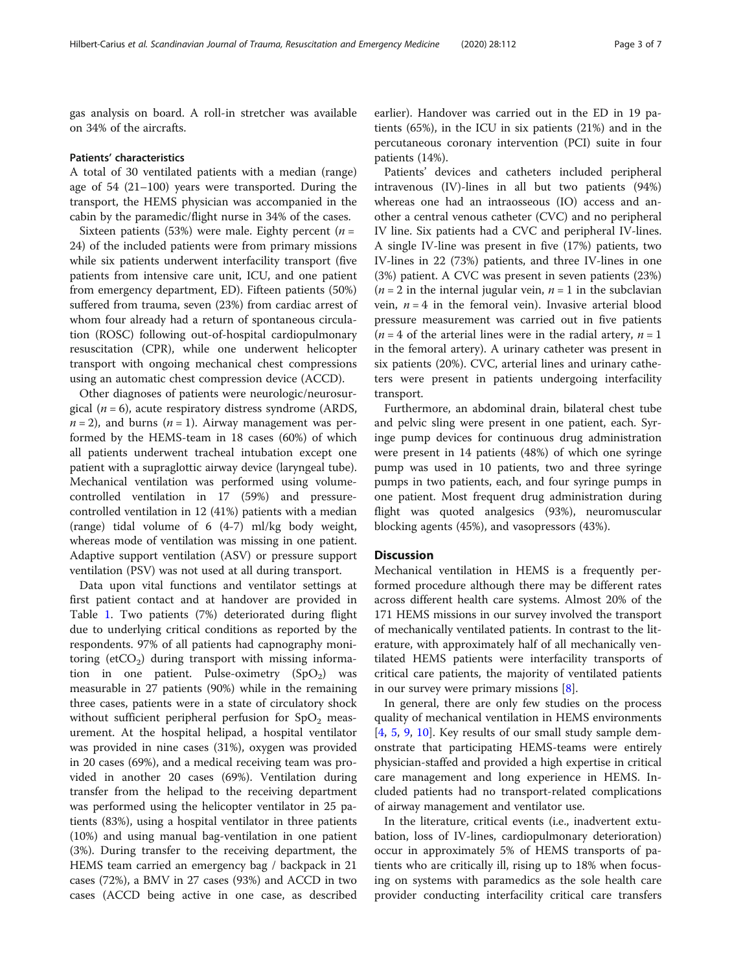gas analysis on board. A roll-in stretcher was available on 34% of the aircrafts.

#### Patients' characteristics

A total of 30 ventilated patients with a median (range) age of 54 (21–100) years were transported. During the transport, the HEMS physician was accompanied in the cabin by the paramedic/flight nurse in 34% of the cases.

Sixteen patients (53%) were male. Eighty percent ( $n =$ 24) of the included patients were from primary missions while six patients underwent interfacility transport (five patients from intensive care unit, ICU, and one patient from emergency department, ED). Fifteen patients (50%) suffered from trauma, seven (23%) from cardiac arrest of whom four already had a return of spontaneous circulation (ROSC) following out-of-hospital cardiopulmonary resuscitation (CPR), while one underwent helicopter transport with ongoing mechanical chest compressions using an automatic chest compression device (ACCD).

Other diagnoses of patients were neurologic/neurosurgical ( $n = 6$ ), acute respiratory distress syndrome (ARDS,  $n = 2$ ), and burns ( $n = 1$ ). Airway management was performed by the HEMS-team in 18 cases (60%) of which all patients underwent tracheal intubation except one patient with a supraglottic airway device (laryngeal tube). Mechanical ventilation was performed using volumecontrolled ventilation in 17 (59%) and pressurecontrolled ventilation in 12 (41%) patients with a median (range) tidal volume of 6 (4-7) ml/kg body weight, whereas mode of ventilation was missing in one patient. Adaptive support ventilation (ASV) or pressure support ventilation (PSV) was not used at all during transport.

Data upon vital functions and ventilator settings at first patient contact and at handover are provided in Table [1.](#page-3-0) Two patients (7%) deteriorated during flight due to underlying critical conditions as reported by the respondents. 97% of all patients had capnography monitoring (etCO<sub>2</sub>) during transport with missing information in one patient. Pulse-oximetry  $(SpO<sub>2</sub>)$  was measurable in 27 patients (90%) while in the remaining three cases, patients were in a state of circulatory shock without sufficient peripheral perfusion for  $SpO<sub>2</sub>$  measurement. At the hospital helipad, a hospital ventilator was provided in nine cases (31%), oxygen was provided in 20 cases (69%), and a medical receiving team was provided in another 20 cases (69%). Ventilation during transfer from the helipad to the receiving department was performed using the helicopter ventilator in 25 patients (83%), using a hospital ventilator in three patients (10%) and using manual bag-ventilation in one patient (3%). During transfer to the receiving department, the HEMS team carried an emergency bag / backpack in 21 cases (72%), a BMV in 27 cases (93%) and ACCD in two cases (ACCD being active in one case, as described earlier). Handover was carried out in the ED in 19 patients (65%), in the ICU in six patients (21%) and in the percutaneous coronary intervention (PCI) suite in four patients (14%).

Patients' devices and catheters included peripheral intravenous (IV)-lines in all but two patients (94%) whereas one had an intraosseous (IO) access and another a central venous catheter (CVC) and no peripheral IV line. Six patients had a CVC and peripheral IV-lines. A single IV-line was present in five (17%) patients, two IV-lines in 22 (73%) patients, and three IV-lines in one (3%) patient. A CVC was present in seven patients (23%)  $(n = 2$  in the internal jugular vein,  $n = 1$  in the subclavian vein,  $n = 4$  in the femoral vein). Invasive arterial blood pressure measurement was carried out in five patients ( $n = 4$  of the arterial lines were in the radial artery,  $n = 1$ in the femoral artery). A urinary catheter was present in six patients (20%). CVC, arterial lines and urinary catheters were present in patients undergoing interfacility transport.

Furthermore, an abdominal drain, bilateral chest tube and pelvic sling were present in one patient, each. Syringe pump devices for continuous drug administration were present in 14 patients (48%) of which one syringe pump was used in 10 patients, two and three syringe pumps in two patients, each, and four syringe pumps in one patient. Most frequent drug administration during flight was quoted analgesics (93%), neuromuscular blocking agents (45%), and vasopressors (43%).

#### **Discussion**

Mechanical ventilation in HEMS is a frequently performed procedure although there may be different rates across different health care systems. Almost 20% of the 171 HEMS missions in our survey involved the transport of mechanically ventilated patients. In contrast to the literature, with approximately half of all mechanically ventilated HEMS patients were interfacility transports of critical care patients, the majority of ventilated patients in our survey were primary missions [\[8](#page-5-0)].

In general, there are only few studies on the process quality of mechanical ventilation in HEMS environments [[4,](#page-5-0) [5](#page-5-0), [9,](#page-5-0) [10\]](#page-5-0). Key results of our small study sample demonstrate that participating HEMS-teams were entirely physician-staffed and provided a high expertise in critical care management and long experience in HEMS. Included patients had no transport-related complications of airway management and ventilator use.

In the literature, critical events (i.e., inadvertent extubation, loss of IV-lines, cardiopulmonary deterioration) occur in approximately 5% of HEMS transports of patients who are critically ill, rising up to 18% when focusing on systems with paramedics as the sole health care provider conducting interfacility critical care transfers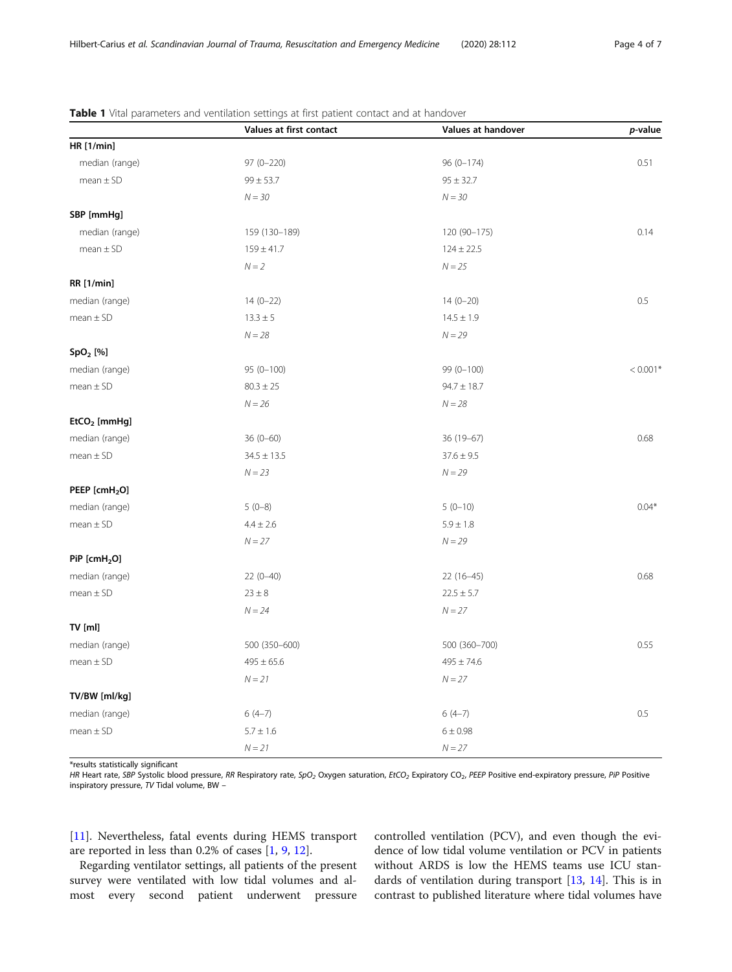|                           | Values at first contact | Values at handover | p-value    |
|---------------------------|-------------------------|--------------------|------------|
| <b>HR</b> [1/min]         |                         |                    |            |
| median (range)            | 97 (0-220)              | $96(0-174)$        | 0.51       |
| $mean \pm SD$             | $99 \pm 53.7$           | $95 \pm 32.7$      |            |
|                           | $N = 30$                | $N = 30$           |            |
| SBP [mmHg]                |                         |                    |            |
| median (range)            | 159 (130-189)           | 120 (90-175)       | 0.14       |
| $mean \pm SD$             | $159 \pm 41.7$          | $124 \pm 22.5$     |            |
|                           | $N = 2$                 | $N = 25$           |            |
| <b>RR</b> [1/min]         |                         |                    |            |
| median (range)            | $14(0-22)$              | $14(0-20)$         | $0.5\,$    |
| $mean \pm SD$             | $13.3 \pm 5$            | $14.5 \pm 1.9$     |            |
|                           | $N = 28$                | $N = 29$           |            |
| SpO <sub>2</sub> [%]      |                         |                    |            |
| median (range)            | $95(0-100)$             | 99 (0-100)         | $< 0.001*$ |
| $mean \pm SD$             | $80.3 \pm 25$           | $94.7 \pm 18.7$    |            |
|                           | $N = 26$                | $N = 28$           |            |
| EtCO <sub>2</sub> [mmHg]  |                         |                    |            |
| median (range)            | $36(0 - 60)$            | 36 (19-67)         | 0.68       |
| $mean \pm SD$             | $34.5 \pm 13.5$         | $37.6 \pm 9.5$     |            |
|                           | $N = 23$                | $N = 29$           |            |
| PEEP [cmH <sub>2</sub> O] |                         |                    |            |
| median (range)            | $5(0-8)$                | $5(0-10)$          | $0.04*$    |
| $mean \pm SD$             | $4.4 \pm 2.6$           | $5.9 \pm 1.8$      |            |
|                           | $N = 27$                | $N = 29$           |            |
| PiP [cmH <sub>2</sub> O]  |                         |                    |            |
| median (range)            | $22(0-40)$              | $22(16-45)$        | 0.68       |
| $mean \pm SD$             | $23\pm8$                | $22.5 \pm 5.7$     |            |
|                           | $N=24$                  | $N\!=\!27$         |            |
| TV [ml]                   |                         |                    |            |
| median (range)            | 500 (350-600)           | 500 (360-700)      | 0.55       |
| $mean \pm SD$             | $495 \pm 65.6$          | $495 \pm 74.6$     |            |
|                           | $N\!=\!21$              | $N\!=\!27$         |            |
| TV/BW [ml/kg]             |                         |                    |            |
| median (range)            | $6(4-7)$                | $6(4-7)$           | 0.5        |
| $mean \pm SD$             | $5.7\pm1.6$             | $6\pm0.98$         |            |
|                           | $N = 21$                | $N = 27$           |            |

<span id="page-3-0"></span>Table 1 Vital parameters and ventilation settings at first patient contact and at handover

\*results statistically significant

HR Heart rate, SBP Systolic blood pressure, RR Respiratory rate, SpO<sub>2</sub> Oxygen saturation, EtCO<sub>2</sub> Expiratory CO<sub>2</sub>, PEEP Positive end-expiratory pressure, PiP Positive inspiratory pressure, TV Tidal volume, BW –

[[11\]](#page-5-0). Nevertheless, fatal events during HEMS transport are reported in less than 0.2% of cases [\[1,](#page-5-0) [9,](#page-5-0) [12\]](#page-5-0).

Regarding ventilator settings, all patients of the present survey were ventilated with low tidal volumes and almost every second patient underwent pressure

controlled ventilation (PCV), and even though the evidence of low tidal volume ventilation or PCV in patients without ARDS is low the HEMS teams use ICU standards of ventilation during transport [\[13](#page-5-0), [14\]](#page-5-0). This is in contrast to published literature where tidal volumes have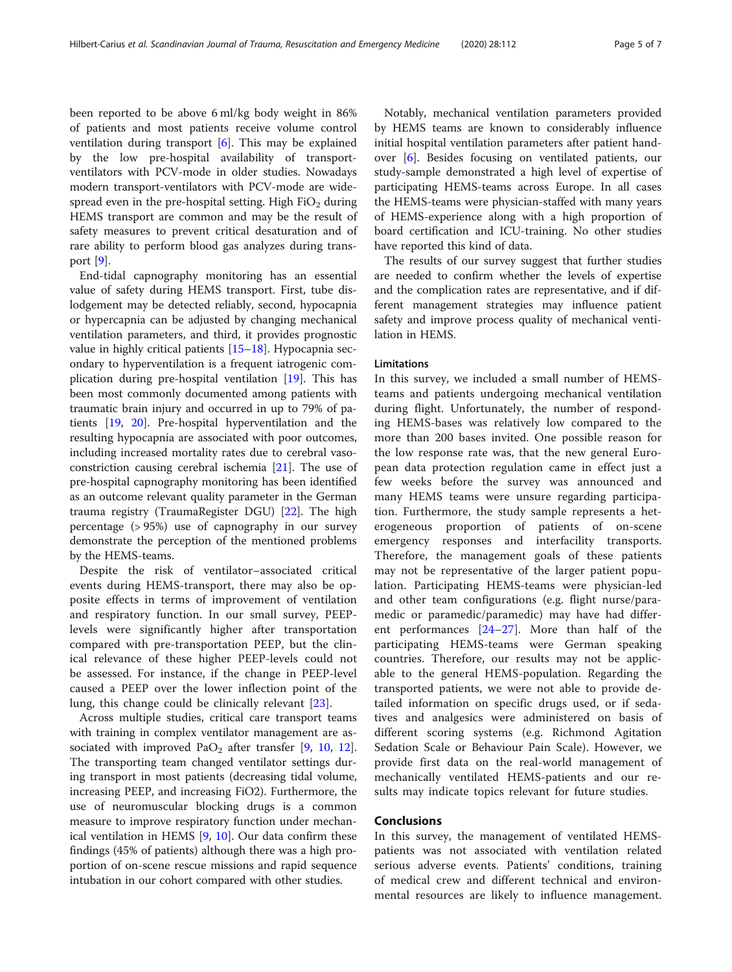been reported to be above 6 ml/kg body weight in 86% of patients and most patients receive volume control ventilation during transport [\[6\]](#page-5-0). This may be explained by the low pre-hospital availability of transportventilators with PCV-mode in older studies. Nowadays modern transport-ventilators with PCV-mode are widespread even in the pre-hospital setting. High  $FiO<sub>2</sub>$  during HEMS transport are common and may be the result of safety measures to prevent critical desaturation and of rare ability to perform blood gas analyzes during transport [[9\]](#page-5-0).

End-tidal capnography monitoring has an essential value of safety during HEMS transport. First, tube dislodgement may be detected reliably, second, hypocapnia or hypercapnia can be adjusted by changing mechanical ventilation parameters, and third, it provides prognostic value in highly critical patients [[15](#page-5-0)–[18](#page-5-0)]. Hypocapnia secondary to hyperventilation is a frequent iatrogenic complication during pre-hospital ventilation [[19\]](#page-5-0). This has been most commonly documented among patients with traumatic brain injury and occurred in up to 79% of patients [[19](#page-5-0), [20\]](#page-5-0). Pre-hospital hyperventilation and the resulting hypocapnia are associated with poor outcomes, including increased mortality rates due to cerebral vasoconstriction causing cerebral ischemia [[21\]](#page-5-0). The use of pre-hospital capnography monitoring has been identified as an outcome relevant quality parameter in the German trauma registry (TraumaRegister DGU) [[22\]](#page-5-0). The high percentage (> 95%) use of capnography in our survey demonstrate the perception of the mentioned problems by the HEMS-teams.

Despite the risk of ventilator–associated critical events during HEMS-transport, there may also be opposite effects in terms of improvement of ventilation and respiratory function. In our small survey, PEEPlevels were significantly higher after transportation compared with pre-transportation PEEP, but the clinical relevance of these higher PEEP-levels could not be assessed. For instance, if the change in PEEP-level caused a PEEP over the lower inflection point of the lung, this change could be clinically relevant [[23](#page-5-0)].

Across multiple studies, critical care transport teams with training in complex ventilator management are associated with improved  $PaO<sub>2</sub>$  after transfer [[9](#page-5-0), [10,](#page-5-0) [12](#page-5-0)]. The transporting team changed ventilator settings during transport in most patients (decreasing tidal volume, increasing PEEP, and increasing FiO2). Furthermore, the use of neuromuscular blocking drugs is a common measure to improve respiratory function under mechanical ventilation in HEMS [\[9](#page-5-0), [10](#page-5-0)]. Our data confirm these findings (45% of patients) although there was a high proportion of on-scene rescue missions and rapid sequence intubation in our cohort compared with other studies.

Notably, mechanical ventilation parameters provided by HEMS teams are known to considerably influence initial hospital ventilation parameters after patient handover [\[6](#page-5-0)]. Besides focusing on ventilated patients, our study-sample demonstrated a high level of expertise of participating HEMS-teams across Europe. In all cases the HEMS-teams were physician-staffed with many years of HEMS-experience along with a high proportion of board certification and ICU-training. No other studies have reported this kind of data.

The results of our survey suggest that further studies are needed to confirm whether the levels of expertise and the complication rates are representative, and if different management strategies may influence patient safety and improve process quality of mechanical ventilation in HEMS.

#### Limitations

In this survey, we included a small number of HEMSteams and patients undergoing mechanical ventilation during flight. Unfortunately, the number of responding HEMS-bases was relatively low compared to the more than 200 bases invited. One possible reason for the low response rate was, that the new general European data protection regulation came in effect just a few weeks before the survey was announced and many HEMS teams were unsure regarding participation. Furthermore, the study sample represents a heterogeneous proportion of patients of on-scene emergency responses and interfacility transports. Therefore, the management goals of these patients may not be representative of the larger patient population. Participating HEMS-teams were physician-led and other team configurations (e.g. flight nurse/paramedic or paramedic/paramedic) may have had different performances [\[24](#page-5-0)–[27\]](#page-6-0). More than half of the participating HEMS-teams were German speaking countries. Therefore, our results may not be applicable to the general HEMS-population. Regarding the transported patients, we were not able to provide detailed information on specific drugs used, or if sedatives and analgesics were administered on basis of different scoring systems (e.g. Richmond Agitation Sedation Scale or Behaviour Pain Scale). However, we provide first data on the real-world management of mechanically ventilated HEMS-patients and our results may indicate topics relevant for future studies.

#### Conclusions

In this survey, the management of ventilated HEMSpatients was not associated with ventilation related serious adverse events. Patients' conditions, training of medical crew and different technical and environmental resources are likely to influence management.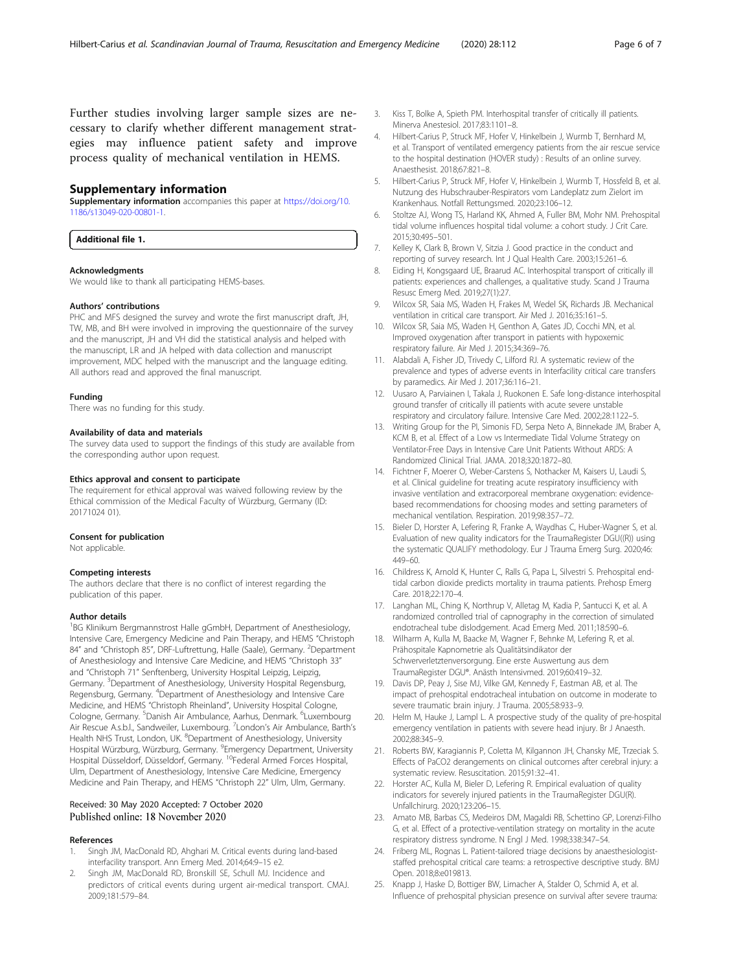<span id="page-5-0"></span>Further studies involving larger sample sizes are necessary to clarify whether different management strategies may influence patient safety and improve process quality of mechanical ventilation in HEMS.

#### Supplementary information

Supplementary information accompanies this paper at [https://doi.org/10.](https://doi.org/10.1186/s13049-020-00801-1) [1186/s13049-020-00801-1](https://doi.org/10.1186/s13049-020-00801-1).

#### Additional file 1.

#### Acknowledgments

We would like to thank all participating HEMS-bases.

#### Authors' contributions

PHC and MFS designed the survey and wrote the first manuscript draft, JH, TW, MB, and BH were involved in improving the questionnaire of the survey and the manuscript, JH and VH did the statistical analysis and helped with the manuscript, LR and JA helped with data collection and manuscript improvement, MDC helped with the manuscript and the language editing. All authors read and approved the final manuscript.

#### Funding

There was no funding for this study.

#### Availability of data and materials

The survey data used to support the findings of this study are available from the corresponding author upon request.

#### Ethics approval and consent to participate

The requirement for ethical approval was waived following review by the Ethical commission of the Medical Faculty of Würzburg, Germany (ID: 20171024 01).

#### Consent for publication

Not applicable.

#### Competing interests

The authors declare that there is no conflict of interest regarding the publication of this paper.

#### Author details

<sup>1</sup>BG Klinikum Bergmannstrost Halle gGmbH, Department of Anesthesiology, Intensive Care, Emergency Medicine and Pain Therapy, and HEMS "Christoph 84" and "Christoph 85", DRF-Luftrettung, Halle (Saale), Germany. <sup>2</sup>Department of Anesthesiology and Intensive Care Medicine, and HEMS "Christoph 33" and "Christoph 71" Senftenberg, University Hospital Leipzig, Leipzig, Germany. <sup>3</sup>Department of Anesthesiology, University Hospital Regensburg, Regensburg, Germany. <sup>4</sup> Department of Anesthesiology and Intensive Care Medicine, and HEMS "Christoph Rheinland", University Hospital Cologne, Cologne, Germany. <sup>5</sup>Danish Air Ambulance, Aarhus, Denmark. <sup>6</sup>Luxembourg Air Rescue A.s.b.l., Sandweiler, Luxembourg. <sup>7</sup>London's Air Ambulance, Barth's Health NHS Trust, London, UK. <sup>8</sup>Department of Anesthesiology, University Hospital Würzburg, Würzburg, Germany. <sup>9</sup>Emergency Department, University Hospital Düsseldorf, Düsseldorf, Germany. 10Federal Armed Forces Hospital, Ulm, Department of Anesthesiology, Intensive Care Medicine, Emergency Medicine and Pain Therapy, and HEMS "Christoph 22" Ulm, Ulm, Germany.

## Received: 30 May 2020 Accepted: 7 October 2020<br>Published online: 18 November 2020

#### References

- Singh JM, MacDonald RD, Ahghari M. Critical events during land-based interfacility transport. Ann Emerg Med. 2014;64:9–15 e2.
- 2. Singh JM, MacDonald RD, Bronskill SE, Schull MJ. Incidence and predictors of critical events during urgent air-medical transport. CMAJ. 2009;181:579–84.
- 3. Kiss T, Bolke A, Spieth PM. Interhospital transfer of critically ill patients. Minerva Anestesiol. 2017;83:1101–8.
- 4. Hilbert-Carius P, Struck MF, Hofer V, Hinkelbein J, Wurmb T, Bernhard M, et al. Transport of ventilated emergency patients from the air rescue service to the hospital destination (HOVER study) : Results of an online survey. Anaesthesist. 2018;67:821–8.
- 5. Hilbert-Carius P, Struck MF, Hofer V, Hinkelbein J, Wurmb T, Hossfeld B, et al. Nutzung des Hubschrauber-Respirators vom Landeplatz zum Zielort im Krankenhaus. Notfall Rettungsmed. 2020;23:106–12.
- 6. Stoltze AJ, Wong TS, Harland KK, Ahmed A, Fuller BM, Mohr NM. Prehospital tidal volume influences hospital tidal volume: a cohort study. J Crit Care. 2015;30:495–501.
- 7. Kelley K, Clark B, Brown V, Sitzia J. Good practice in the conduct and reporting of survey research. Int J Qual Health Care. 2003;15:261–6.
- 8. Eiding H, Kongsgaard UE, Braarud AC. Interhospital transport of critically ill patients: experiences and challenges, a qualitative study. Scand J Trauma Resusc Emerg Med. 2019;27(1):27.
- 9. Wilcox SR, Saia MS, Waden H, Frakes M, Wedel SK, Richards JB. Mechanical ventilation in critical care transport. Air Med J. 2016;35:161–5.
- 10. Wilcox SR, Saia MS, Waden H, Genthon A, Gates JD, Cocchi MN, et al. Improved oxygenation after transport in patients with hypoxemic respiratory failure. Air Med J. 2015;34:369–76.
- 11. Alabdali A, Fisher JD, Trivedy C, Lilford RJ. A systematic review of the prevalence and types of adverse events in Interfacility critical care transfers by paramedics. Air Med J. 2017;36:116–21.
- 12. Uusaro A, Parviainen I, Takala J, Ruokonen E. Safe long-distance interhospital ground transfer of critically ill patients with acute severe unstable respiratory and circulatory failure. Intensive Care Med. 2002;28:1122–5.
- 13. Writing Group for the PI, Simonis FD, Serpa Neto A, Binnekade JM, Braber A, KCM B, et al. Effect of a Low vs Intermediate Tidal Volume Strategy on Ventilator-Free Days in Intensive Care Unit Patients Without ARDS: A Randomized Clinical Trial. JAMA. 2018;320:1872–80.
- 14. Fichtner F, Moerer O, Weber-Carstens S, Nothacker M, Kaisers U, Laudi S, et al. Clinical guideline for treating acute respiratory insufficiency with invasive ventilation and extracorporeal membrane oxygenation: evidencebased recommendations for choosing modes and setting parameters of mechanical ventilation. Respiration. 2019;98:357–72.
- 15. Bieler D, Horster A, Lefering R, Franke A, Waydhas C, Huber-Wagner S, et al. Evaluation of new quality indicators for the TraumaRegister DGU((R)) using the systematic QUALIFY methodology. Eur J Trauma Emerg Surg. 2020;46: 449–60.
- 16. Childress K, Arnold K, Hunter C, Ralls G, Papa L, Silvestri S. Prehospital endtidal carbon dioxide predicts mortality in trauma patients. Prehosp Emerg Care. 2018;22:170–4.
- 17. Langhan ML, Ching K, Northrup V, Alletag M, Kadia P, Santucci K, et al. A randomized controlled trial of capnography in the correction of simulated endotracheal tube dislodgement. Acad Emerg Med. 2011;18:590–6.
- 18. Wilharm A, Kulla M, Baacke M, Wagner F, Behnke M, Lefering R, et al. Prähospitale Kapnometrie als Qualitätsindikator der Schwerverletztenversorgung. Eine erste Auswertung aus dem TraumaRegister DGU®. Anästh Intensivmed. 2019;60:419–32.
- 19. Davis DP, Peay J, Sise MJ, Vilke GM, Kennedy F, Eastman AB, et al. The impact of prehospital endotracheal intubation on outcome in moderate to severe traumatic brain injury. J Trauma. 2005;58:933–9.
- 20. Helm M, Hauke J, Lampl L. A prospective study of the quality of pre-hospital emergency ventilation in patients with severe head injury. Br J Anaesth. 2002;88:345–9.
- 21. Roberts BW, Karagiannis P, Coletta M, Kilgannon JH, Chansky ME, Trzeciak S. Effects of PaCO2 derangements on clinical outcomes after cerebral injury: a systematic review. Resuscitation. 2015;91:32–41.
- 22. Horster AC, Kulla M, Bieler D, Lefering R. Empirical evaluation of quality indicators for severely injured patients in the TraumaRegister DGU(R). Unfallchirurg. 2020;123:206–15.
- 23. Amato MB, Barbas CS, Medeiros DM, Magaldi RB, Schettino GP, Lorenzi-Filho G, et al. Effect of a protective-ventilation strategy on mortality in the acute respiratory distress syndrome. N Engl J Med. 1998;338:347–54.
- 24. Friberg ML, Rognas L. Patient-tailored triage decisions by anaesthesiologiststaffed prehospital critical care teams: a retrospective descriptive study. BMJ Open. 2018;8:e019813.
- 25. Knapp J, Haske D, Bottiger BW, Limacher A, Stalder O, Schmid A, et al. Influence of prehospital physician presence on survival after severe trauma: